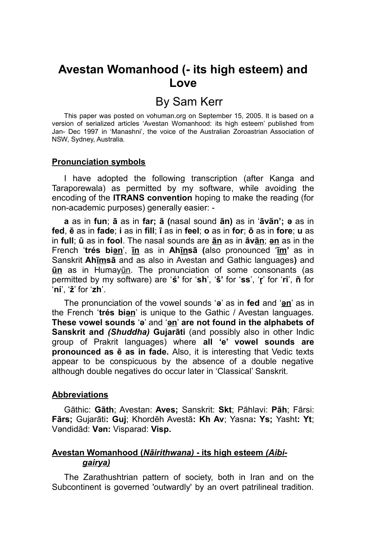# **Avestan Womanhood (- its high esteem) and Love**

# By Sam Kerr

This paper was posted on vohuman.org on September 15, 2005. It is based on a version of serialized articles 'Avestan Womanhood: its high esteem' published from Jan- Dec 1997 in 'Manashni', the voice of the Australian Zoroastrian Association of NSW, Sydney, Australia.

#### **Pronunciation symbols**

I have adopted the following transcription (after Kanga and Taraporewala) as permitted by my software, while avoiding the encoding of the **ITRANS convention** hoping to make the reading (for non-academic purposes) generally easier: -

**a** as in **fun**; **ā** as in **far; ã (**nasal sound **ãn)** as in '**āvãn'; ə** as in **fed**, **ē** as in **fade**; **i** as in **fill**; **ī** as in **feel**; **o** as in **for**; **ō** as in **fore**; **u** as in **full**; **ū** as in **fool**. The nasal sounds are **ãn** as in **āvãn**; **ən** as in the French '**trés biən**', **ĩn** as in **Ahĩnsā (**also pronounced '**ĩm'** as in Sanskrit **Ahĩmsā** and as also in Avestan and Gathic languages**)** and **ũn** as in Humayũn. The pronunciation of some consonants (as permitted by my software) are '**ś'** for '**sh**', '**š'** for '**ss**', '**ŗ**' for '**ri**', **ñ** for '**ni**', '**ž**' for '**zh**'.

The pronunciation of the vowel sounds '**ə**' as in **fed** and '**ən**' as in the French '**trés biən**' is unique to the Gathic / Avestan languages. **These vowel sounds** '**ə**' and '**ən**' **are not found in the alphabets of Sanskrit and** *(Shuddha)* **Gujarāti** (and possibly also in other Indic group of Prakrit languages) where **all 'e' vowel sounds are pronounced as ē as in fade.** Also, it is interesting that Vedic texts appear to be conspicuous by the absence of a double negative although double negatives do occur later in 'Classical' Sanskrit.

#### **Abbreviations**

Gāthic: **Gāth**; Avestan: **Aves;** Sanskrit: **Skt**; Pāhlavi: **Pāh**; Fārsi: **Fārs;** Gujarāti**: Guj**; Khordēh Avestā**: Kh Av**; Yasna**: Ys;** Yasht**: Yt**; Vəndidād: **Vən:** Visparad: **Visp.**

# **Avestan Womanhood (** *Nāirithwana)* **- its high esteem** *(Aibigairya)*

The Zarathushtrian pattern of society, both in Iran and on the Subcontinent is governed 'outwardly' by an overt patrilineal tradition.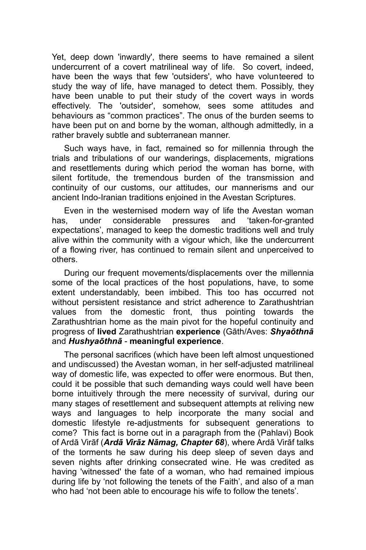Yet, deep down 'inwardly', there seems to have remained a silent undercurrent of a covert matrilineal way of life. So covert, indeed, have been the ways that few 'outsiders', who have volunteered to study the way of life, have managed to detect them. Possibly, they have been unable to put their study of the covert ways in words effectively. The 'outsider', somehow, sees some attitudes and behaviours as "common practices". The onus of the burden seems to have been put on and borne by the woman, although admittedly, in a rather bravely subtle and subterranean manner.

Such ways have, in fact, remained so for millennia through the trials and tribulations of our wanderings, displacements, migrations and resettlements during which period the woman has borne, with silent fortitude, the tremendous burden of the transmission and continuity of our customs, our attitudes, our mannerisms and our ancient Indo-Iranian traditions enjoined in the Avestan Scriptures.

Even in the westernised modern way of life the Avestan woman has, under considerable pressures and 'taken-for-granted expectations', managed to keep the domestic traditions well and truly alive within the community with a vigour which, like the undercurrent of a flowing river, has continued to remain silent and unperceived to others.

During our frequent movements/displacements over the millennia some of the local practices of the host populations, have, to some extent understandably, been imbibed. This too has occurred not without persistent resistance and strict adherence to Zarathushtrian values from the domestic front, thus pointing towards the Zarathushtrian home as the main pivot for the hopeful continuity and progress of **lived** Zarathushtrian **experience** (Gāth/Aves: *Shyaōthnā* and *Hushyaōthnā* - **meaningful experience**.

The personal sacrifices (which have been left almost unquestioned and undiscussed) the Avestan woman, in her self-adjusted matrilineal way of domestic life, was expected to offer were enormous. But then, could it be possible that such demanding ways could well have been borne intuitively through the mere necessity of survival, during our many stages of resettlement and subsequent attempts at reliving new ways and languages to help incorporate the many social and domestic lifestyle re-adjustments for subsequent generations to come? This fact is borne out in a paragraph from the (Pahlavi) Book of Ardā Virāf (*Ardā Virāz Nāmag, Chapter 68*), where Ardā Virāf talks of the torments he saw during his deep sleep of seven days and seven nights after drinking consecrated wine. He was credited as having 'witnessed' the fate of a woman, who had remained impious during life by 'not following the tenets of the Faith', and also of a man who had 'not been able to encourage his wife to follow the tenets'.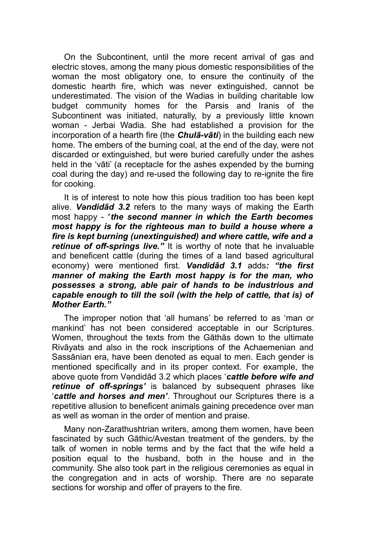On the Subcontinent, until the more recent arrival of gas and electric stoves, among the many pious domestic responsibilities of the woman the most obligatory one, to ensure the continuity of the domestic hearth fire, which was never extinguished, cannot be underestimated. The vision of the Wadias in building charitable low budget community homes for the Parsis and Iranis of the Subcontinent was initiated, naturally, by a previously little known woman - Jerbai Wadia. She had established a provision for the incorporation of a hearth fire (the *Chulā-vāti*) in the building each new home. The embers of the burning coal, at the end of the day, were not discarded or extinguished, but were buried carefully under the ashes held in the 'vāti' (a receptacle for the ashes expended by the burning coal during the day) and re-used the following day to re-ignite the fire for cooking.

It is of interest to note how this pious tradition too has been kept alive. *Vəndidād 3.2* refers to the many ways of making the Earth most happy - "*the second manner in which the Earth becomes most happy is for the righteous man to build a house where a fire is kept burning (unextinguished) and where cattle, wife and a retinue of off-springs live."* It is worthy of note that he invaluable and beneficent cattle (during the times of a land based agricultural economy) were mentioned first. *Vəndidād 3.1* adds*: "the first manner of making the Earth most happy is for the man, who possesses a strong, able pair of hands to be industrious and capable enough to till the soil (with the help of cattle, that is) of Mother Earth."*

The improper notion that 'all humans' be referred to as 'man or mankind' has not been considered acceptable in our Scriptures. Women, throughout the texts from the Gāthās down to the ultimate Rivāyats and also in the rock inscriptions of the Achaemenian and Sassānian era, have been denoted as equal to men. Each gender is mentioned specifically and in its proper context. For example, the above quote from Vəndidād 3.2 which places '*cattle before wife and retinue of off-springs'* is balanced by subsequent phrases like '*cattle and horses and men'*. Throughout our Scriptures there is a repetitive allusion to beneficent animals gaining precedence over man as well as woman in the order of mention and praise.

Many non-Zarathushtrian writers, among them women, have been fascinated by such Gāthic/Avestan treatment of the genders, by the talk of women in noble terms and by the fact that the wife held a position equal to the husband, both in the house and in the community. She also took part in the religious ceremonies as equal in the congregation and in acts of worship. There are no separate sections for worship and offer of prayers to the fire.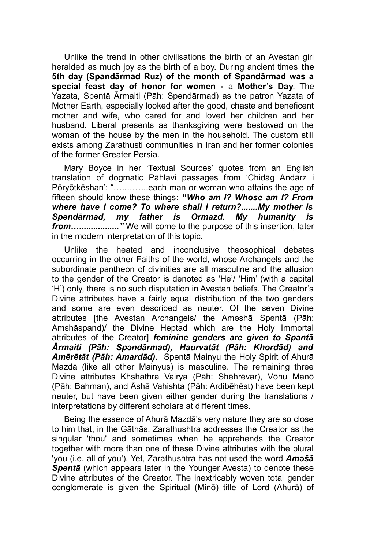Unlike the trend in other civilisations the birth of an Avestan girl heralded as much joy as the birth of a boy. During ancient times **the 5th day (Spandārmad Ruz) of the month of Spandārmad was a special feast day of honor for women -** a **Mother's Day**. The Yazata, Spəntā Ārmaiti (Pāh: Spəndārmad) as the patron Yazata of Mother Earth, especially looked after the good, chaste and beneficent mother and wife, who cared for and loved her children and her husband. Liberal presents as thanksgiving were bestowed on the woman of the house by the men in the household. The custom still exists among Zarathusti communities in Iran and her former colonies of the former Greater Persia.

Mary Boyce in her 'Textual Sources' quotes from an English translation of dogmatic Pāhlavi passages from 'Chidāg Andārz i Pōryōtkēshan': "…..……..each man or woman who attains the age of fifteen should know these things**: "***Who am I? Whose am I? From where have I come? To where shall I return?.......My mother is Spəndārmad, my father is Ormazd. My humanity is from…................."* We will come to the purpose of this insertion, later in the modern interpretation of this topic.

Unlike the heated and inconclusive theosophical debates occurring in the other Faiths of the world, whose Archangels and the subordinate pantheon of divinities are all masculine and the allusion to the gender of the Creator is denoted as 'He'/ 'Him' (with a capital 'H') only, there is no such disputation in Avestan beliefs. The Creator's Divine attributes have a fairly equal distribution of the two genders and some are even described as neuter. Of the seven Divine attributes [the Avestan Archangels/ the Aməshā Spəntā (Pāh: Amshāspand)/ the Divine Heptad which are the Holy Immortal attributes of the Creator] *feminine genders are given to Spəntā Ārmaiti (Pāh: Spəndārmad), Haurvatāt (Pāh: Khordād) and Amērētāt (Pāh: Amardād).* Spəntā Mainyu the Holy Spirit of Ahurā Mazdā (like all other Mainyus) is masculine. The remaining three Divine attributes Khshathra Vairya (Pāh: Shēhrēvar), Vōhu Manō (Pāh: Bahman), and Āshā Vahishta (Pāh: Ardibēhēst) have been kept neuter, but have been given either gender during the translations / interpretations by different scholars at different times.

Being the essence of Ahurā Mazdā's very nature they are so close to him that, in the Gāthās, Zarathushtra addresses the Creator as the singular 'thou' and sometimes when he apprehends the Creator together with more than one of these Divine attributes with the plural 'you (i.e. all of you'). Yet, Zarathushtra has not used the word *Aməšā Spəntā* (which appears later in the Younger Avesta) to denote these Divine attributes of the Creator. The inextricably woven total gender conglomerate is given the Spiritual (Minō) title of Lord (Ahurā) of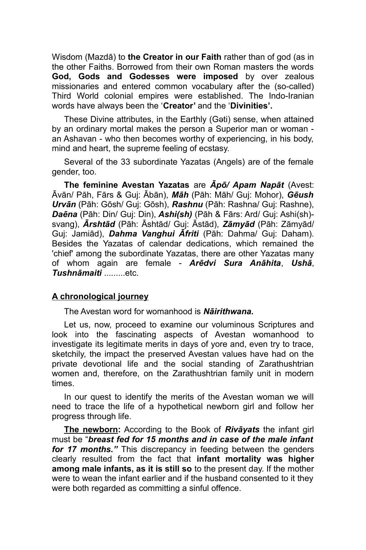Wisdom (Mazdā) to **the Creator in our Faith** rather than of god (as in the other Faiths. Borrowed from their own Roman masters the words **God, Gods and Godesses were imposed** by over zealous missionaries and entered common vocabulary after the (so-called) Third World colonial empires were established. The Indo-Iranian words have always been the '**Creator'** and the '**Divinities'.**

These Divine attributes, in the Earthly (Gəti) sense, when attained by an ordinary mortal makes the person a Superior man or woman an Ashavan - who then becomes worthy of experiencing, in his body, mind and heart, the supreme feeling of ecstasy.

Several of the 33 subordinate Yazatas (Angels) are of the female gender, too.

**The feminine Avestan Yazatas** are *Āpō/ Apam Napāt* (Avest: Āvān/ Pāh, Fārs & Guj: Ābān), *Māh* (Pāh: Māh/ Guj: Mohor), *Gēush Urvān* (Pāh: Gōsh/ Guj: Gōsh), *Rashnu* (Pāh: Rashna/ Guj: Rashne), *Daēna* (Pāh: Din/ Guj: Din), *Ashi(sh)* (Pāh & Fārs: Ard/ Guj: Ashi(sh) svang), *Ārshtād* (Pāh: Āshtād/ Guj: Āstād), *Zāmyād* (Pāh: Zāmyād/ Guj: Jamiād), *Dahma Vanghui Āfriti* (Pāh: Dahma/ Guj: Daham). Besides the Yazatas of calendar dedications, which remained the 'chief' among the subordinate Yazatas, there are other Yazatas many of whom again are female - *Arēdvi Sura Anāhita*, *Ushā*, **Tushnāmaiti** etc.

# **A chronological journey**

The Avestan word for womanhood is *Nāirithwana.*

Let us, now, proceed to examine our voluminous Scriptures and look into the fascinating aspects of Avestan womanhood to investigate its legitimate merits in days of yore and, even try to trace, sketchily, the impact the preserved Avestan values have had on the private devotional life and the social standing of Zarathushtrian women and, therefore, on the Zarathushtrian family unit in modern times.

In our quest to identify the merits of the Avestan woman we will need to trace the life of a hypothetical newborn girl and follow her progress through life.

**The newborn:** According to the Book of *Rivāyats* the infant girl must be "*breast fed for 15 months and in case of the male infant for 17 months."* This discrepancy in feeding between the genders clearly resulted from the fact that **infant mortality was higher among male infants, as it is still so** to the present day. If the mother were to wean the infant earlier and if the husband consented to it they were both regarded as committing a sinful offence.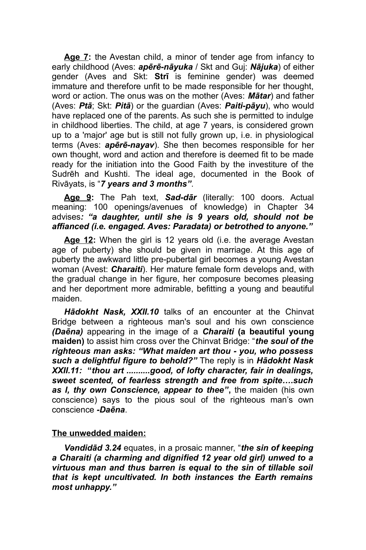**Age 7:** the Avestan child, a minor of tender age from infancy to early childhood (Aves: *apērē-nāyuka* / Skt and Guj: *Nājuka*) of either gender (Aves and Skt: **Strī** is feminine gender) was deemed immature and therefore unfit to be made responsible for her thought, word or action. The onus was on the mother (Aves: *Mātar*) and father (Aves: *Ptā*; Skt: *Pitā*) or the guardian (Aves: *Paiti-pāyu*), who would have replaced one of the parents. As such she is permitted to indulge in childhood liberties. The child, at age 7 years, is considered grown up to a 'major' age but is still not fully grown up, i.e. in physiological terms (Aves: *apērē-nayav*). She then becomes responsible for her own thought, word and action and therefore is deemed fit to be made ready for the initiation into the Good Faith by the investiture of the Sudrēh and Kushti. The ideal age, documented in the Book of Rivāyats, is "*7 years and 3 months"*.

**Age 9:** The Pah text, *Sad-dār* (literally: 100 doors. Actual meaning: 100 openings/avenues of knowledge) in Chapter 34 advises*: "a daughter, until she is 9 years old, should not be affianced (i.e. engaged. Aves: Paradata) or betrothed to anyone."*

**Age 12:** When the girl is 12 years old (i.e. the average Avestan age of puberty) she should be given in marriage. At this age of puberty the awkward little pre-pubertal girl becomes a young Avestan woman (Avest: *Charaiti*). Her mature female form develops and, with the gradual change in her figure, her composure becomes pleasing and her deportment more admirable, befitting a young and beautiful maiden.

*Hādokht Nask, XXII.10* talks of an encounter at the Chinvat Bridge between a righteous man's soul and his own conscience *(Daēna)* appearing in the image of a *Charaiti* **(a beautiful young maiden)** to assist him cross over the Chinvat Bridge: "*the soul of the righteous man asks: "What maiden art thou - you, who possess such a delightful figure to behold?"* The reply is in *Hādokht Nask XXII.11:* **"***thou art ..........good, of lofty character, fair in dealings, sweet scented, of fearless strength and free from spite….such as I, thy own Conscience, appear to thee"***,** the maiden (his own conscience) says to the pious soul of the righteous man's own conscience *-Daēna*.

# **The unwedded maiden :**

*Vəndidād 3.24* equates, in a prosaic manner, "*the sin of keeping a Charaiti (a charming and dignified 12 year old girl) unwed to a virtuous man and thus barren is equal to the sin of tillable soil that is kept uncultivated. In both instances the Earth remains most unhappy."*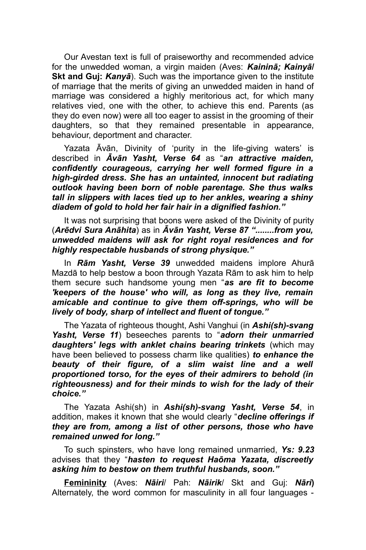Our Avestan text is full of praiseworthy and recommended advice for the unwedded woman, a virgin maiden (Aves: *Kaininā; Kainyā***/ Skt and Gui: Kanyā**). Such was the importance given to the institute of marriage that the merits of giving an unwedded maiden in hand of marriage was considered a highly meritorious act, for which many relatives vied, one with the other, to achieve this end. Parents (as they do even now) were all too eager to assist in the grooming of their daughters, so that they remained presentable in appearance, behaviour, deportment and character.

Yazata Āvān, Divinity of 'purity in the life-giving waters' is described in *Āvān Yasht, Verse 64* as "*an attractive maiden, confidently courageous, carrying her well formed figure in a high-girded dress. She has an untainted, innocent but radiating outlook having been born of noble parentage. She thus walks tall in slippers with laces tied up to her ankles, wearing a shiny diadem of gold to hold her fair hair in a dignified fashion."* 

It was not surprising that boons were asked of the Divinity of purity (*Arēdvi Sura Anāhita*) as in *Āvān Yasht, Verse 87 "........from you, unwedded maidens will ask for right royal residences and for highly respectable husbands of strong physique."*

In *Rām Yasht, Verse 39* unwedded maidens implore Ahurā Mazdā to help bestow a boon through Yazata Rām to ask him to help them secure such handsome young men "*as are fit to become 'keepers of the house' who will, as long as they live, remain amicable and continue to give them off-springs, who will be lively of body, sharp of intellect and fluent of tongue."*

The Yazata of righteous thought, Ashi Vanghui (in *Ashi(sh)-svang Yasht, Verse 11*) beseeches parents to "*adorn their unmarried daughters' legs with anklet chains bearing trinkets* (which may have been believed to possess charm like qualities) *to enhance the beauty of their figure, of a slim waist line and a well proportioned torso, for the eyes of their admirers to behold (in righteousness) and for their minds to wish for the lady of their choice."* 

The Yazata Ashi(sh) in *Ashi(sh)-svang Yasht, Verse 54*, in addition, makes it known that she would clearly "*decline offerings if they are from, among a list of other persons, those who have remained unwed for long."*

To such spinsters, who have long remained unmarried, *Ys: 9.23* advises that they "*hasten to request Haōma Yazata, discreetly asking him to bestow on them truthful husbands, soon."* 

**Femininity** (Aves: *Nāiri*/ Pah: *Nāirik*/ Skt and Guj: *Nāri***)** Alternately, the word common for masculinity in all four languages -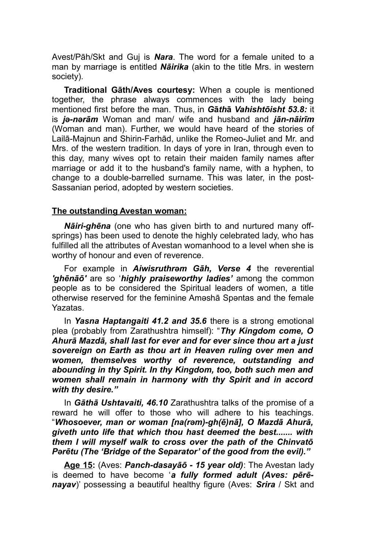Avest/Pāh/Skt and Guj is *Nara*. The word for a female united to a man by marriage is entitled *Nāirika* (akin to the title Mrs. in western society).

**Traditional Gāth/Aves courtesy:** When a couple is mentioned together, the phrase always commences with the lady being mentioned first before the man. Thus, in *G***ā***th***ā** *Vahishtōisht 53.8:* it is *jə-nərām* Woman and man/ wife and husband and *jān-nāirīm* (Woman and man). Further, we would have heard of the stories of Lailā-Majnun and Shirin-Farhād, unlike the Romeo-Juliet and Mr. and Mrs. of the western tradition. In days of yore in Iran, through even to this day, many wives opt to retain their maiden family names after marriage or add it to the husband's family name, with a hyphen, to change to a double-barrelled surname. This was later, in the post-Sassanian period, adopted by western societies.

#### **The outstanding Avestan woman:**

*Nāiri-ghēna* (one who has given birth to and nurtured many offsprings) has been used to denote the highly celebrated lady, who has fulfilled all the attributes of Avestan womanhood to a level when she is worthy of honour and even of reverence.

For example in *Aiwisruthrəm Gāh, Verse 4* the reverential *'ghēnāō'* are so '*highly praiseworthy ladies'* among the common people as to be considered the Spiritual leaders of women, a title otherwise reserved for the feminine Aməshā Spəntas and the female Yazatas.

In *Yasna Haptangaiti 41.2 and 35.6* there is a strong emotional plea (probably from Zarathushtra himself): "*Thy Kingdom come, O Ahurā Mazdā, shall last for ever and for ever since thou art a just sovereign on Earth as thou art in Heaven ruling over men and women, themselves worthy of reverence, outstanding and abounding in thy Spirit. In thy Kingdom, too, both such men and women shall remain in harmony with thy Spirit and in accord with thy desire."*

In *Gāthā Ushtavaiti, 46.10* Zarathushtra talks of the promise of a reward he will offer to those who will adhere to his teachings. "*Whosoever, man or woman [na(rəm)-gh(ē)nā], O Mazdā Ahurā, giveth unto life that which thou hast deemed the best....... with them I will myself walk to cross over the path of the Chinvatō Pərētu (The 'Bridge of the Separator' of the good from the evil)."*

**Age 15:** (Aves: *Panch-dasayāō - 15 year old)*: The Avestan lady is deemed to have become '*a fully formed adult (Aves: pērēnayav*)' possessing a beautiful healthy figure (Aves: *Srira* / Skt and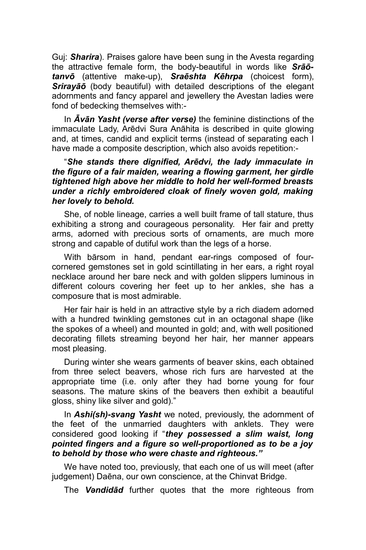Guj: *Sharira*). Praises galore have been sung in the Avesta regarding the attractive female form, the body-beautiful in words like *Srāōtanvō* (attentive make-up), *Sraēshta Kēhrpa* (choicest form), *Srirayāō* (body beautiful) with detailed descriptions of the elegant adornments and fancy apparel and jewellery the Avestan ladies were fond of bedecking themselves with:-

In *Āvān Yasht (verse after verse)* the feminine distinctions of the immaculate Lady, Arēdvi Sura Anāhita is described in quite glowing and, at times, candid and explicit terms (instead of separating each I have made a composite description, which also avoids repetition:-

# "*She stands there dignified, Arēdvi, the lady immaculate in the figure of a fair maiden, wearing a flowing garment, her girdle tightened high above her middle to hold her well-formed breasts under a richly embroidered cloak of finely woven gold, making her lovely to behold.*

She, of noble lineage, carries a well built frame of tall stature, thus exhibiting a strong and courageous personality. Her fair and pretty arms, adorned with precious sorts of ornaments, are much more strong and capable of dutiful work than the legs of a horse.

With bārsom in hand, pendant ear-rings composed of fourcornered gemstones set in gold scintillating in her ears, a right royal necklace around her bare neck and with golden slippers luminous in different colours covering her feet up to her ankles, she has a composure that is most admirable.

Her fair hair is held in an attractive style by a rich diadem adorned with a hundred twinkling gemstones cut in an octagonal shape (like the spokes of a wheel) and mounted in gold; and, with well positioned decorating fillets streaming beyond her hair, her manner appears most pleasing.

During winter she wears garments of beaver skins, each obtained from three select beavers, whose rich furs are harvested at the appropriate time (i.e. only after they had borne young for four seasons. The mature skins of the beavers then exhibit a beautiful gloss, shiny like silver and gold)."

In *Ashi(sh)-svang Yasht* we noted, previously, the adornment of the feet of the unmarried daughters with anklets. They were considered good looking if "*they possessed a slim waist, long pointed fingers and a figure so well-proportioned as to be a joy to behold by those who were chaste and righteous."*

We have noted too, previously, that each one of us will meet (after judgement) Daēna, our own conscience, at the Chinvat Bridge.

The *Vəndidād* further quotes that the more righteous from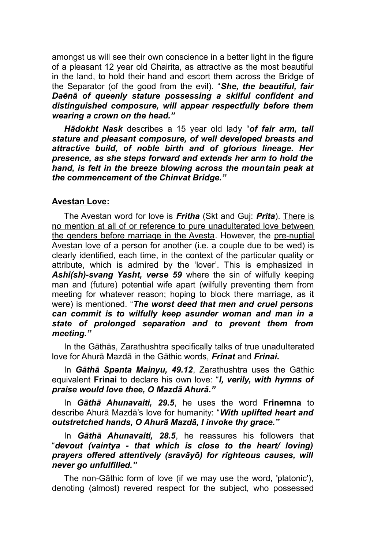amongst us will see their own conscience in a better light in the figure of a pleasant 12 year old Chairita, as attractive as the most beautiful in the land, to hold their hand and escort them across the Bridge of the Separator (of the good from the evil). "*She, the beautiful, fair Daēnā of queenly stature possessing a skilful confident and distinguished composure, will appear respectfully before them wearing a crown on the head."*

*Hādokht Nask* describes a 15 year old lady "*of fair arm, tall stature and pleasant composure, of well developed breasts and attractive build, of noble birth and of glorious lineage. Her presence, as she steps forward and extends her arm to hold the hand, is felt in the breeze blowing across the mountain peak at the commencement of the Chinvat Bridge."*

## **Avestan Love :**

The Avestan word for love is *Fritha* (Skt and Guj: *Prita*). There is no mention at all of or reference to pure unadulterated love between the genders before marriage in the Avesta. However, the pre-nuptial Avestan love of a person for another (i.e. a couple due to be wed) is clearly identified, each time, in the context of the particular quality or attribute, which is admired by the 'lover'. This is emphasized in *Ashi(sh)-svang Yasht, verse 59* where the sin of wilfully keeping man and (future) potential wife apart (wilfully preventing them from meeting for whatever reason; hoping to block there marriage, as it were) is mentioned. "*The worst deed that men and cruel persons can commit is to wilfully keep asunder woman and man in a state of prolonged separation and to prevent them from meeting."*

In the Gāthās, Zarathushtra specifically talks of true unadulterated love for Ahurā Mazdā in the Gāthic words, *Frinat* and *Frinai***.** 

In *Gāthā Spənta Mainyu, 49.12*, Zarathushtra uses the Gāthic equivalent **Frinai** to declare his own love: "*I, verily, with hymns of praise would love thee, O Mazdā Ahurā."* 

In *Gāthā Ahunavaiti, 29.5*, he uses the word **Frinəmna** to describe Ahurā Mazdā's love for humanity: "*With uplifted heart and outstretched hands, O Ahurā Mazdā, I invoke thy grace."* 

In *Gāthā Ahunavaiti, 28.5*, he reassures his followers that "*devout (vaintya - that which is close to the heart/ loving) prayers offered attentively (sravāyō) for righteous causes, will never go unfulfilled."* 

The non-Gāthic form of love (if we may use the word, 'platonic'), denoting (almost) revered respect for the subject, who possessed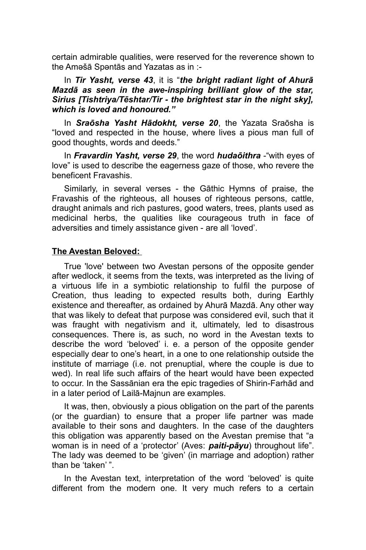certain admirable qualities, were reserved for the reverence shown to the Aməšā Spəntās and Yazatas as in :-

## In *Tir Yasht, verse 43*, it is "*the bright radiant light of Ahurā Mazdā as seen in the awe-inspiring brilliant glow of the star, Sirius [Tishtriya/Tēshtar/Tir - the brightest star in the night sky], which is loved and honoured."*

In *Sraōsha Yasht Hādokht, verse 20*, the Yazata Sraōsha is "loved and respected in the house, where lives a pious man full of good thoughts, words and deeds."

In *Fravardin Yasht, verse 29*, the word *hudaōithra* -"with eyes of love" is used to describe the eagerness gaze of those, who revere the beneficent Fravashis.

Similarly, in several verses - the Gāthic Hymns of praise, the Fravashis of the righteous, all houses of righteous persons, cattle, draught animals and rich pastures, good waters, trees, plants used as medicinal herbs, the qualities like courageous truth in face of adversities and timely assistance given - are all 'loved'.

# **The Avestan Beloved :**

True 'love' between two Avestan persons of the opposite gender after wedlock, it seems from the texts, was interpreted as the living of a virtuous life in a symbiotic relationship to fulfil the purpose of Creation, thus leading to expected results both, during Earthly existence and thereafter, as ordained by Ahurā Mazdā. Any other way that was likely to defeat that purpose was considered evil, such that it was fraught with negativism and it, ultimately, led to disastrous consequences. There is, as such, no word in the Avestan texts to describe the word 'beloved' i. e. a person of the opposite gender especially dear to one's heart, in a one to one relationship outside the institute of marriage (i.e. not prenuptial, where the couple is due to wed). In real life such affairs of the heart would have been expected to occur. In the Sassānian era the epic tragedies of Shirin-Farhād and in a later period of Lailā-Majnun are examples.

It was, then, obviously a pious obligation on the part of the parents (or the guardian) to ensure that a proper life partner was made available to their sons and daughters. In the case of the daughters this obligation was apparently based on the Avestan premise that "a woman is in need of a 'protector' (Aves: *paiti-pāyu*) throughout life". The lady was deemed to be 'given' (in marriage and adoption) rather than be 'taken' ".

In the Avestan text, interpretation of the word 'beloved' is quite different from the modern one. It very much refers to a certain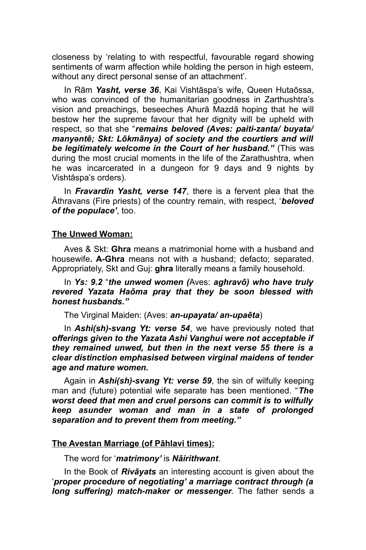closeness by 'relating to with respectful, favourable regard showing sentiments of warm affection while holding the person in high esteem, without any direct personal sense of an attachment'.

In Rām *Yasht, verse 36*, Kai Vishtāspa's wife, Queen Hutaōssa, who was convinced of the humanitarian goodness in Zarthushtra's vision and preachings, beseeches Ahurā Mazdā hoping that he will bestow her the supreme favour that her dignity will be upheld with respect, so that she "*remains beloved (Aves: paiti-zanta/ buyata/ manyəntē; Skt: Lōkmānya) of society and the courtiers and will be legitimately welcome in the Court of her husband."* (This was during the most crucial moments in the life of the Zarathushtra, when he was incarcerated in a dungeon for 9 days and 9 nights by Vishtāspa's orders).

In *Fravardin Yasht, verse 147*, there is a fervent plea that the Āthravans (Fire priests) of the country remain, with respect, '*beloved of the populace'*, too.

# **The Unwed Woman :**

Aves & Skt: **Ghra** means a matrimonial home with a husband and housewife**. A-Ghra** means not with a husband; defacto; separated. Appropriately, Skt and Guj: **ghra** literally means a family household.

In *Ys: 9.2* "*the unwed women (*Aves: *aghravō) who have truly revered Yazata Haōma pray that they be soon blessed with honest husbands."*

The Virginal Maiden: (Aves: *an-upayata/ an-upaēta*)

In *Ashi(sh)-svang Yt: verse 54*, we have previously noted that *offerings given to the Yazata Ashi Vanghui were not acceptable if they remained unwed, but then in the next verse 55 there is a clear distinction emphasised between virginal maidens of tender age and mature women.*

Again in *Ashi(sh)-svang Yt: verse 59*, the sin of wilfully keeping man and (future) potential wife separate has been mentioned. "*The worst deed that men and cruel persons can commit is to wilfully keep asunder woman and man in a state of prolonged separation and to prevent them from meeting."*

#### **The Avestan Marriage (of Pāhlavi times) :**

The word for '*matrimony'* is *Nāirithwant*.

In the Book of *Rivāyats* an interesting account is given about the '*proper procedure of negotiating' a marriage contract through (a long suffering) match-maker or messenger*. The father sends a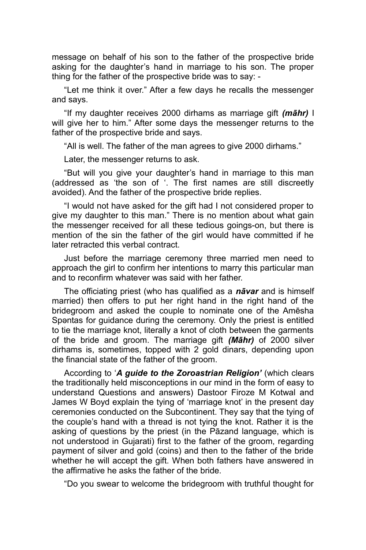message on behalf of his son to the father of the prospective bride asking for the daughter's hand in marriage to his son. The proper thing for the father of the prospective bride was to say: -

"Let me think it over." After a few days he recalls the messenger and says.

"If my daughter receives 2000 dirhams as marriage gift *(māhr)* I will give her to him." After some days the messenger returns to the father of the prospective bride and says.

"All is well. The father of the man agrees to give 2000 dirhams."

Later, the messenger returns to ask.

"But will you give your daughter's hand in marriage to this man (addressed as 'the son of '. The first names are still discreetly avoided). And the father of the prospective bride replies.

"I would not have asked for the gift had I not considered proper to give my daughter to this man." There is no mention about what gain the messenger received for all these tedious goings-on, but there is mention of the sin the father of the girl would have committed if he later retracted this verbal contract.

Just before the marriage ceremony three married men need to approach the girl to confirm her intentions to marry this particular man and to reconfirm whatever was said with her father.

The officiating priest (who has qualified as a *nāvar* and is himself married) then offers to put her right hand in the right hand of the bridegroom and asked the couple to nominate one of the Amēsha Spəntas for guidance during the ceremony. Only the priest is entitled to tie the marriage knot, literally a knot of cloth between the garments of the bride and groom. The marriage gift *(Māhr)* of 2000 silver dirhams is, sometimes, topped with 2 gold dinars, depending upon the financial state of the father of the groom.

According to '*A guide to the Zoroastrian Religion'* (which clears the traditionally held misconceptions in our mind in the form of easy to understand Questions and answers) Dastoor Firoze M Kotwal and James W Boyd explain the tying of 'marriage knot' in the present day ceremonies conducted on the Subcontinent. They say that the tying of the couple's hand with a thread is not tying the knot. Rather it is the asking of questions by the priest (in the Pāzand language, which is not understood in Gujarati) first to the father of the groom, regarding payment of silver and gold (coins) and then to the father of the bride whether he will accept the gift. When both fathers have answered in the affirmative he asks the father of the bride.

"Do you swear to welcome the bridegroom with truthful thought for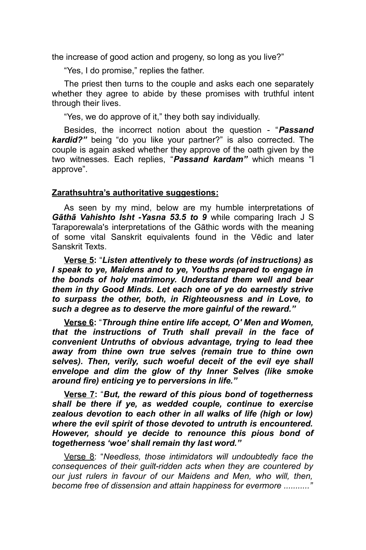the increase of good action and progeny, so long as you live?"

"Yes, I do promise," replies the father.

The priest then turns to the couple and asks each one separately whether they agree to abide by these promises with truthful intent through their lives.

"Yes, we do approve of it," they both say individually.

Besides, the incorrect notion about the question - "*Passand kardid?"* being "do you like your partner?" is also corrected. The couple is again asked whether they approve of the oath given by the two witnesses. Each replies, "*Passand kardam"* which means "I approve".

## **Zarathsuhtra's authoritative suggestions :**

As seen by my mind, below are my humble interpretations of *Gāthā Vahishto Isht -Yasna 53.5 to 9* while comparing Irach J S Taraporewala's interpretations of the Gāthic words with the meaning of some vital Sanskrit equivalents found in the Vēdic and later Sanskrit Texts.

**Verse 5:** "*Listen attentively to these words (of instructions) as I speak to ye, Maidens and to ye, Youths prepared to engage in the bonds of holy matrimony. Understand them well and bear them in thy Good Minds. Let each one of ye do earnestly strive to surpass the other, both, in Righteousness and in Love, to such a degree as to deserve the more gainful of the reward."* 

**Verse 6:** "*Through thine entire life accept, O' Men and Women, that the instructions of Truth shall prevail in the face of convenient Untruths of obvious advantage, trying to lead thee away from thine own true selves (remain true to thine own selves). Then, verily, such woeful deceit of the evil eye shall envelope and dim the glow of thy Inner Selves (like smoke around fire) enticing ye to perversions in life."*

**Verse 7:** "*But, the reward of this pious bond of togetherness shall be there if ye, as wedded couple, continue to exercise zealous devotion to each other in all walks of life (high or low) where the evil spirit of those devoted to untruth is encountered. However, should ye decide to renounce this pious bond of togetherness 'woe' shall remain thy last word."*

Verse 8: "*Needless, those intimidators will undoubtedly face the consequences of their guilt-ridden acts when they are countered by our just rulers in favour of our Maidens and Men, who will, then, become free of dissension and attain happiness for evermore ..........."*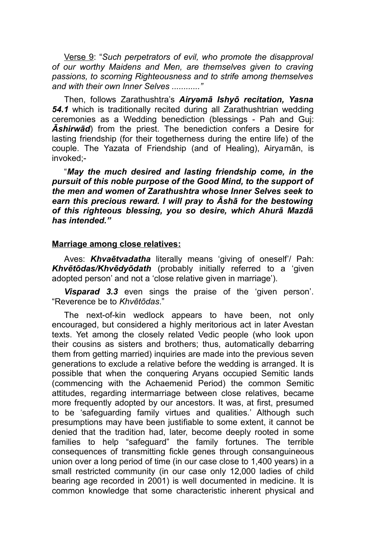Verse 9: "*Such perpetrators of evil, who promote the disapproval of our worthy Maidens and Men, are themselves given to craving passions, to scorning Righteousness and to strife among themselves and with their own Inner Selves ............"* 

Then, follows Zarathushtra's *Airyəmā Ishyō recitation, Yasna 54.1* which is traditionally recited during all Zarathushtrian wedding ceremonies as a Wedding benediction (blessings - Pah and Guj: *Āshirwād*) from the priest. The benediction confers a Desire for lasting friendship (for their togetherness during the entire life) of the couple. The Yazata of Friendship (and of Healing), Airyamān, is invoked;-

"*May the much desired and lasting friendship come, in the pursuit of this noble purpose of the Good Mind, to the support of the men and women of Zarathushtra whose Inner Selves seek to earn this precious reward. I will pray to Āshā for the bestowing of this righteous blessing, you so desire, which Ahurā Mazdā has intended."* 

#### **Marriage among close relatives :**

Aves: *Khvaētvadatha* literally means 'giving of oneself'/ Pah: *Khvētōdas/Khvēdyōdath* (probably initially referred to a 'given adopted person' and not a 'close relative given in marriage').

*Visparad 3.3* even sings the praise of the 'given person'. "Reverence be to *Khvētōdas*."

The next-of-kin wedlock appears to have been, not only encouraged, but considered a highly meritorious act in later Avestan texts. Yet among the closely related Vedic people (who look upon their cousins as sisters and brothers; thus, automatically debarring them from getting married) inquiries are made into the previous seven generations to exclude a relative before the wedding is arranged. It is possible that when the conquering Aryans occupied Semitic lands (commencing with the Achaemenid Period) the common Semitic attitudes, regarding intermarriage between close relatives, became more frequently adopted by our ancestors. It was, at first, presumed to be 'safeguarding family virtues and qualities.' Although such presumptions may have been justifiable to some extent, it cannot be denied that the tradition had, later, become deeply rooted in some families to help "safeguard" the family fortunes. The terrible consequences of transmitting fickle genes through consanguineous union over a long period of time (in our case close to 1,400 years) in a small restricted community (in our case only 12,000 ladies of child bearing age recorded in 2001) is well documented in medicine. It is common knowledge that some characteristic inherent physical and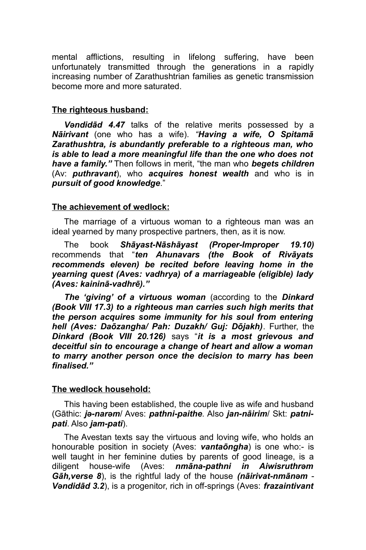mental afflictions, resulting in lifelong suffering, have been unfortunately transmitted through the generations in a rapidly increasing number of Zarathushtrian families as genetic transmission become more and more saturated.

## **The righteous husband :**

*Vəndidād 4.47* talks of the relative merits possessed by a *Nāirivant* (one who has a wife)*. "Having a wife, O Spitamā Zarathushtra, is abundantly preferable to a righteous man, who is able to lead a more meaningful life than the one who does not have a family."* Then follows in merit, "the man who *begets children* (Av: *puthravant*), who *acquires honest wealth* and who is in *pursuit of good knowledge*."

## **The achievement of wedlock :**

The marriage of a virtuous woman to a righteous man was an ideal yearned by many prospective partners, then, as it is now.

The book *Shāyast-Nāshāyast (Proper-Improper 19.10)* recommends that "*ten Ahunavars (the Book of Rivāyats recommends eleven) be recited before leaving home in the yearning quest (Aves: vadhrya) of a marriageable (eligible) lady (Aves: kaininā-vadhrē)."* 

*The 'giving' of a virtuous woman* (according to the *Dinkard (Book VIII 17.3) to a righteous man carries such high merits that the person acquires some immunity for his soul from entering hell (Aves: Daōzangha/ Pah: Duzakh/ Guj: Dōjakh)*. Further, the *Dinkard (Book VIII 20.126)* says "*it is a most grievous and deceitful sin to encourage a change of heart and allow a woman to marry another person once the decision to marry has been finalised."*

# **The wedlock household :**

This having been established, the couple live as wife and husband (Gāthic: *jə-narəm*/ Aves: *pathni-paithe.* Also *jan-nāirim*/ Skt: *patnipati*. Also *jam-pati*).

The Avestan texts say the virtuous and loving wife, who holds an honourable position in society (Aves: *vantaōngha*) is one who:- is well taught in her feminine duties by parents of good lineage, is a diligent house-wife (Aves: *nmāna-pathni in Aiwisruthrəm Gāh,verse 8*), is the rightful lady of the house *(nāirivat-nmānəm* - *Vəndidād 3.2*), is a progenitor, rich in off-springs (Aves: *frazaintivant*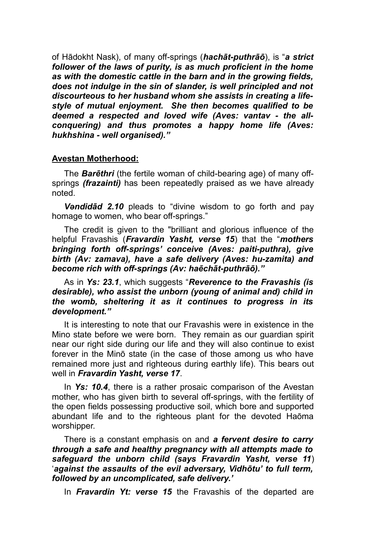of Hādokht Nask), of many off-springs (*hachāt-puthrāō*), is "*a strict follower of the laws of purity, is as much proficient in the home as with the domestic cattle in the barn and in the growing fields, does not indulge in the sin of slander, is well principled and not discourteous to her husband whom she assists in creating a lifestyle of mutual enjoyment. She then becomes qualified to be deemed a respected and loved wife (Aves: vantav - the allconquering) and thus promotes a happy home life (Aves: hukhshina - well organised)."*

## **Avestan Motherhood :**

The *Barēthri* (the fertile woman of child-bearing age) of many offsprings *(frazainti)* has been repeatedly praised as we have already noted.

*Vəndidād 2.10* pleads to "divine wisdom to go forth and pay homage to women, who bear off-springs."

The credit is given to the "brilliant and glorious influence of the helpful Fravashis (*Fravardin Yasht, verse 15*) that the "*mothers bringing forth off-springs' conceive (Aves: paiti-puthra), give birth (Av: zamava), have a safe delivery (Aves: hu-zamita) and become rich with off-springs (Av: haēchāt-puthrāō)."*

As in *Ys: 23.1*, which suggests "*Reverence to the Fravashis (is desirable), who assist the unborn (young of animal and) child in the womb, sheltering it as it continues to progress in its development."* 

It is interesting to note that our Fravashis were in existence in the Mino state before we were born. They remain as our guardian spirit near our right side during our life and they will also continue to exist forever in the Minō state (in the case of those among us who have remained more just and righteous during earthly life). This bears out well in *Fravardin Yasht, verse 17*.

In *Ys: 10.4*, there is a rather prosaic comparison of the Avestan mother, who has given birth to several off-springs, with the fertility of the open fields possessing productive soil, which bore and supported abundant life and to the righteous plant for the devoted Haōma worshipper.

There is a constant emphasis on and *a fervent desire to carry through a safe and healthy pregnancy with all attempts made to safeguard the unborn child (says Fravardin Yasht, verse 11*) '*against the assaults of the evil adversary, Vidhōtu' to full term, followed by an uncomplicated, safe delivery.'*

In *Fravardin Yt: verse 15* the Fravashis of the departed are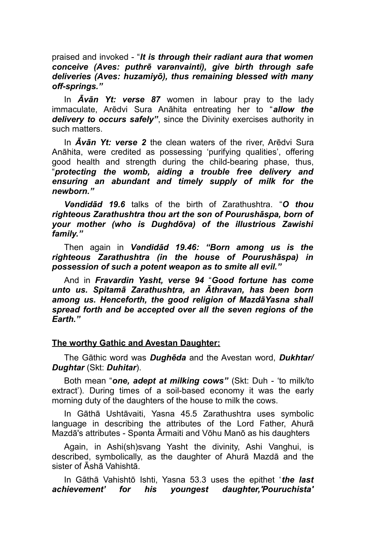praised and invoked - "*It is through their radiant aura that women conceive (Aves: puthrē varənvainti), give birth through safe deliveries (Aves: huzamiyō), thus remaining blessed with many off-springs."*

In *Āvān Yt: verse 87* women in labour pray to the lady immaculate, Arēdvi Sura Anāhita entreating her to "*allow the delivery to occurs safely"*, since the Divinity exercises authority in such matters.

In *Āvān Yt: verse 2* the clean waters of the river, Arēdvi Sura Anāhita, were credited as possessing 'purifying qualities', offering good health and strength during the child-bearing phase, thus, "*protecting the womb, aiding a trouble free delivery and ensuring an abundant and timely supply of milk for the newborn."*

*Vəndidād 19.6* talks of the birth of Zarathushtra. "*O thou righteous Zarathushtra thou art the son of Pourushāspa, born of your mother (who is Dughdōva) of the illustrious Zawishi family."* 

Then again in *Vəndidād 19.46: "Born among us is the righteous Zarathushtra (in the house of Pourushāspa) in possession of such a potent weapon as to smite all evil."*

And in *Fravardin Yasht, verse 94* "*Good fortune has come unto us. Spitamā Zarathushtra, an Āthravan, has been born among us. Henceforth, the good religion of MazdāYasna shall spread forth and be accepted over all the seven regions of the Earth."* 

# **The worthy Gathic and Avestan Daughter:**

The Gāthic word was *Dughēda* and the Avestan word, *Dukhtar/ Dughtar* (Skt: *Duhitar*).

Both mean "*one, adept at milking cows"* (Skt: Duh - 'to milk/to extract'). During times of a soil-based economy it was the early morning duty of the daughters of the house to milk the cows.

In Gāthā Ushtāvaiti, Yasna 45.5 Zarathushtra uses symbolic language in describing the attributes of the Lord Father, Ahurā Mazdā's attributes - Spənta Ārmaiti and Vōhu Manō as his daughters

Again, in Ashi(sh)svang Yasht the divinity, Ashi Vanghui, is described, symbolically, as the daughter of Ahurā Mazdā and the sister of Āshā Vahishtā.

In Gāthā Vahishtō Ishti, Yasna 53.3 uses the epithet '*the last achievement' for his youngest daughter,'Pouruchista'*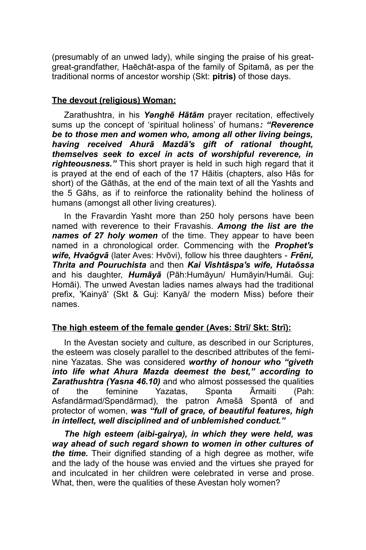(presumably of an unwed lady), while singing the praise of his greatgreat-grandfather, Haēchāt-aspa of the family of Spitamā, as per the traditional norms of ancestor worship (Skt: **pitris)** of those days.

# **The devout (religious) Woman :**

Zarathushtra, in his *Yənghē Hātām* prayer recitation, effectively sums up the concept of 'spiritual holiness' of humans*: "Reverence be to those men and women who, among all other living beings, having received Ahurā Mazdā's gift of rational thought, themselves seek to excel in acts of worshipful reverence, in righteousness."* This short prayer is held in such high regard that it is prayed at the end of each of the 17 Hāitis (chapters, also Hās for short) of the Gāthās, at the end of the main text of all the Yashts and the 5 Gāhs, as if to reinforce the rationality behind the holiness of humans (amongst all other living creatures).

In the Fravardin Yasht more than 250 holy persons have been named with reverence to their Fravashis. *Among the list are the names of 27 holy women* of the time. They appear to have been named in a chronological order. Commencing with the *Prophet's wife, Hvaōgvā* (later Aves: Hvōvi), follow his three daughters - *Frēni, Thrita and Pouruchista* and then *Kai Vishtāspa's wife, Hutaōssa* and his daughter, *Humāyā* (Pāh:Humāyun/ Humāyin/Humāi. Guj: Homāi). The unwed Avestan ladies names always had the traditional prefix, 'Kainyā' (Skt & Guj: Kanyā/ the modern Miss) before their names.

#### The high esteem of the female gender (Aves: Strī/ Skt: Strī):

In the Avestan society and culture, as described in our Scriptures, the esteem was closely parallel to the described attributes of the feminine Yazatas. She was considered *worthy of honour who "giveth into life what Ahura Mazda deemest the best," according to Zarathushtra (Yasna 46.10)* and who almost possessed the qualities of the feminine Yazatas, Spənta Ārmaiti (Pah: Asfandārmad/Spəndārmad), the patron Aməšā Spəntā of and protector of women, *was "full of grace, of beautiful features, high in intellect, well disciplined and of unblemished conduct."* 

*The high esteem (aibi-gairya), in which they were held, was way ahead of such regard shown to women in other cultures of the time.* Their dignified standing of a high degree as mother, wife and the lady of the house was envied and the virtues she prayed for and inculcated in her children were celebrated in verse and prose. What, then, were the qualities of these Avestan holy women?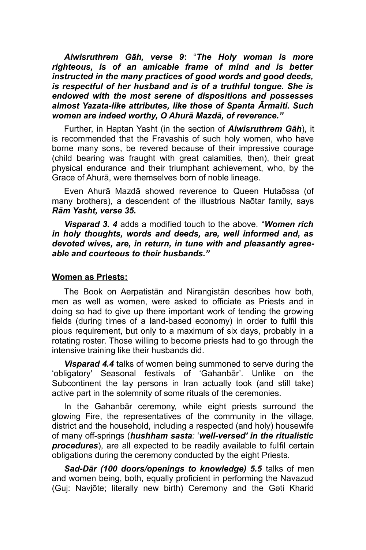*Aiwisruthrəm Gāh, verse 9***:** "*The Holy woman is more righteous, is of an amicable frame of mind and is better instructed in the many practices of good words and good deeds, is respectful of her husband and is of a truthful tongue. She is endowed with the most serene of dispositions and possesses almost Yazata-like attributes, like those of Spənta Ārmaiti. Such women are indeed worthy, O Ahurā Mazdā, of reverence."*

Further, in Haptan Yasht (in the section of *Aiwisruthrəm Gāh*), it is recommended that the Fravashis of such holy women, who have borne many sons, be revered because of their impressive courage (child bearing was fraught with great calamities, then), their great physical endurance and their triumphant achievement, who, by the Grace of Ahurā, were themselves born of noble lineage.

Even Ahurā Mazdā showed reverence to Queen Hutaōssa (of many brothers), a descendent of the illustrious Naōtar family, says *Rām Yasht, verse 35.*

*Visparad 3. 4* adds a modified touch to the above. "*Women rich in holy thoughts, words and deeds, are, well informed and, as devoted wives, are, in return, in tune with and pleasantly agreeable and courteous to their husbands."*

#### **Women as Priests :**

The Book on Aerpatistān and Nirangistān describes how both, men as well as women, were asked to officiate as Priests and in doing so had to give up there important work of tending the growing fields (during times of a land-based economy) in order to fulfil this pious requirement, but only to a maximum of six days, probably in a rotating roster. Those willing to become priests had to go through the intensive training like their husbands did.

*Visparad 4.4* talks of women being summoned to serve during the 'obligatory' Seasonal festivals of 'Gahanbār'. Unlike on the Subcontinent the lay persons in Iran actually took (and still take) active part in the solemnity of some rituals of the ceremonies.

In the Gahanbār ceremony, while eight priests surround the glowing Fire, the representatives of the community in the village, district and the household, including a respected (and holy) housewife of many off-springs (*hushham sasta:* '*well-versed' in the ritualistic procedures*), are all expected to be readily available to fulfil certain obligations during the ceremony conducted by the eight Priests.

*Sad-Dār (100 doors/openings to knowledge) 5.5* talks of men and women being, both, equally proficient in performing the Navazud (Guj: Navjōte; literally new birth) Ceremony and the Gəti Kharid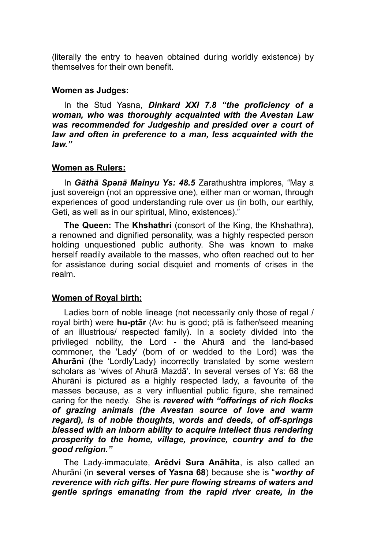(literally the entry to heaven obtained during worldly existence) by themselves for their own benefit.

### **Women as Judges :**

In the Stud Yasna, *Dinkard XXI 7.8 "the proficiency of a woman, who was thoroughly acquainted with the Avestan Law was recommended for Judgeship and presided over a court of law and often in preference to a man, less acquainted with the law."* 

## **Women as Rulers :**

In *Gāthā Spənā Mainyu Ys: 48.5* Zarathushtra implores, "May a just sovereign (not an oppressive one), either man or woman, through experiences of good understanding rule over us (in both, our earthly, Geti, as well as in our spiritual, Mino, existences)."

**The Queen:** The **Khshathri** (consort of the King, the Khshathra), a renowned and dignified personality, was a highly respected person holding unquestioned public authority. She was known to make herself readily available to the masses, who often reached out to her for assistance during social disquiet and moments of crises in the realm.

# **Women of Royal birth:**

Ladies born of noble lineage (not necessarily only those of regal / royal birth) were **hu-ptār** (Av: hu is good; ptā is father/seed meaning of an illustrious/ respected family). In a society divided into the privileged nobility, the Lord - the Ahurā and the land-based commoner, the 'Lady' (born of or wedded to the Lord) was the **Ahurāni** (the 'Lordly'Lady) incorrectly translated by some western scholars as 'wives of Ahurā Mazdā'. In several verses of Ys: 68 the Ahurāni is pictured as a highly respected lady, a favourite of the masses because, as a very influential public figure, she remained caring for the needy. She is *revered with "offerings of rich flocks of grazing animals (the Avestan source of love and warm regard), is of noble thoughts, words and deeds, of off-springs blessed with an inborn ability to acquire intellect thus rendering prosperity to the home, village, province, country and to the good religion."*

The Lady-immaculate, **Arēdvi Sura Anāhita**, is also called an Ahurāni (in **several verses of Yasna 68**) because she is "*worthy of reverence with rich gifts. Her pure flowing streams of waters and gentle springs emanating from the rapid river create, in the*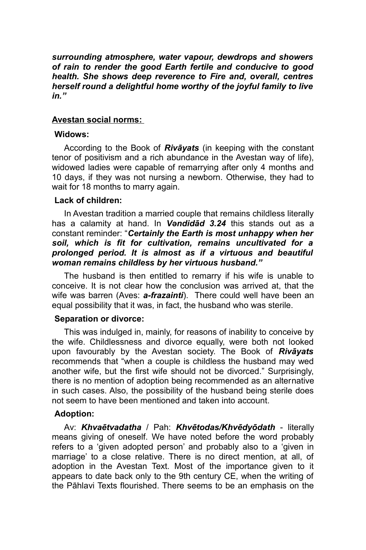*surrounding atmosphere, water vapour, dewdrops and showers of rain to render the good Earth fertile and conducive to good health. She shows deep reverence to Fire and, overall, centres herself round a delightful home worthy of the joyful family to live in."*

### **Avestan social norms :**

### **Widows:**

According to the Book of *Rivāyats* (in keeping with the constant tenor of positivism and a rich abundance in the Avestan way of life), widowed ladies were capable of remarrying after only 4 months and 10 days, if they was not nursing a newborn. Otherwise, they had to wait for 18 months to marry again.

### **Lack of children:**

In Avestan tradition a married couple that remains childless literally has a calamity at hand. In *Vəndidād 3.24* this stands out as a constant reminder: "*Certainly the Earth is most unhappy when her soil, which is fit for cultivation, remains uncultivated for a prolonged period. It is almost as if a virtuous and beautiful woman remains childless by her virtuous husband."* 

The husband is then entitled to remarry if his wife is unable to conceive. It is not clear how the conclusion was arrived at, that the wife was barren (Aves: *a-frazainti*). There could well have been an equal possibility that it was, in fact, the husband who was sterile.

#### **Separation or divorce:**

This was indulged in, mainly, for reasons of inability to conceive by the wife. Childlessness and divorce equally, were both not looked upon favourably by the Avestan society. The Book of *Rivāyats* recommends that "when a couple is childless the husband may wed another wife, but the first wife should not be divorced." Surprisingly, there is no mention of adoption being recommended as an alternative in such cases. Also, the possibility of the husband being sterile does not seem to have been mentioned and taken into account.

#### **Adoption:**

Av: *Khvaētvadatha* / Pah: *Khvētodas/Khvēdyōdath* - literally means giving of oneself. We have noted before the word probably refers to a 'given adopted person' and probably also to a 'given in marriage' to a close relative. There is no direct mention, at all, of adoption in the Avestan Text. Most of the importance given to it appears to date back only to the 9th century CE, when the writing of the Pāhlavi Texts flourished. There seems to be an emphasis on the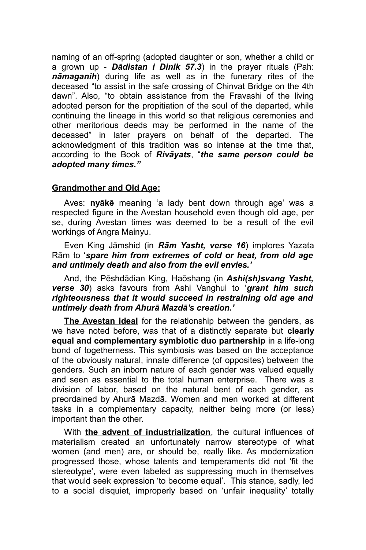naming of an off-spring (adopted daughter or son, whether a child or a grown up - *Dādistan i Dinik 57.3*) in the prayer rituals (Pah: *nāmaganih*) during life as well as in the funerary rites of the deceased "to assist in the safe crossing of Chinvat Bridge on the 4th dawn". Also, "to obtain assistance from the Fravashi of the living adopted person for the propitiation of the soul of the departed, while continuing the lineage in this world so that religious ceremonies and other meritorious deeds may be performed in the name of the deceased" in later prayers on behalf of the departed. The acknowledgment of this tradition was so intense at the time that, according to the Book of *Rivāyats*, "*the same person could be adopted many times."* 

## **Grandmother and Old Age :**

Aves: **nyākē** meaning 'a lady bent down through age' was a respected figure in the Avestan household even though old age, per se, during Avestan times was deemed to be a result of the evil workings of Angra Mainyu.

Even King Jāmshid (in *Rām Yasht, verse 16*) implores Yazata Rām to '*spare him from extremes of cold or heat, from old age and untimely death and also from the evil envies.'* 

And, the Pēshdādian King, Haōshang (in *Ashi(sh)svang Yasht, verse 30*) asks favours from Ashi Vanghui to '*grant him such righteousness that it would succeed in restraining old age and untimely death from Ahurā Mazdā's creation.'*

**The Avestan ideal** for the relationship between the genders, as we have noted before, was that of a distinctly separate but **clearly equal and complementary symbiotic duo partnership** in a life-long bond of togetherness. This symbiosis was based on the acceptance of the obviously natural, innate difference (of opposites) between the genders. Such an inborn nature of each gender was valued equally and seen as essential to the total human enterprise. There was a division of labor, based on the natural bent of each gender, as preordained by Ahurā Mazdā. Women and men worked at different tasks in a complementary capacity, neither being more (or less) important than the other.

With **the advent of industrialization**, the cultural influences of materialism created an unfortunately narrow stereotype of what women (and men) are, or should be, really like. As modernization progressed those, whose talents and temperaments did not 'fit the stereotype', were even labeled as suppressing much in themselves that would seek expression 'to become equal'. This stance, sadly, led to a social disquiet, improperly based on 'unfair inequality' totally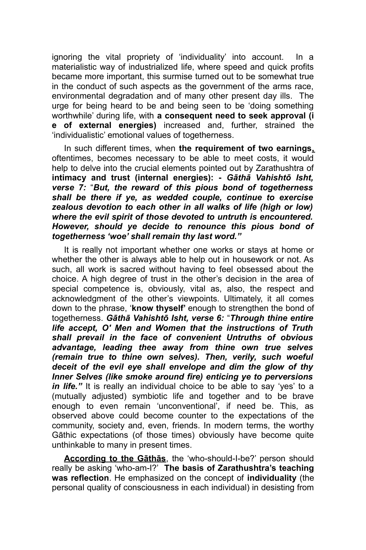ignoring the vital propriety of 'individuality' into account. In a materialistic way of industrialized life, where speed and quick profits became more important, this surmise turned out to be somewhat true in the conduct of such aspects as the government of the arms race, environmental degradation and of many other present day ills. The urge for being heard to be and being seen to be 'doing something worthwhile' during life, with **a consequent need to seek approval (i e of external energies)** increased and, further, strained the 'individualistic' emotional values of togetherness.

In such different times, when **the requirement of two earnings,** oftentimes, becomes necessary to be able to meet costs, it would help to delve into the crucial elements pointed out by Zarathushtra of **intimacy and trust (internal energies): -** *Gāthā Vahishtō Isht, verse 7:* "*But, the reward of this pious bond of togetherness shall be there if ye, as wedded couple, continue to exercise zealous devotion to each other in all walks of life (high or low) where the evil spirit of those devoted to untruth is encountered. However, should ye decide to renounce this pious bond of togetherness 'woe' shall remain thy last word."*

It is really not important whether one works or stays at home or whether the other is always able to help out in housework or not. As such, all work is sacred without having to feel obsessed about the choice. A high degree of trust in the other's decision in the area of special competence is, obviously, vital as, also, the respect and acknowledgment of the other's viewpoints. Ultimately, it all comes down to the phrase, '**know thyself'** enough to strengthen the bond of togetherness. *Gāthā Vahishtō Isht, verse 6:* "*Through thine entire life accept, O' Men and Women that the instructions of Truth shall prevail in the face of convenient Untruths of obvious advantage, leading thee away from thine own true selves (remain true to thine own selves). Then, verily, such woeful deceit of the evil eye shall envelope and dim the glow of thy Inner Selves (like smoke around fire) enticing ye to perversions in life."* It is really an individual choice to be able to say 'yes' to a (mutually adjusted) symbiotic life and together and to be brave enough to even remain 'unconventional', if need be. This, as observed above could become counter to the expectations of the community, society and, even, friends. In modern terms, the worthy Gāthic expectations (of those times) obviously have become quite unthinkable to many in present times.

**According to the Gāthās**, the 'who-should-I-be?' person should really be asking 'who-am-I?' **The basis of Zarathushtra's teaching was reflection**. He emphasized on the concept of **individuality** (the personal quality of consciousness in each individual) in desisting from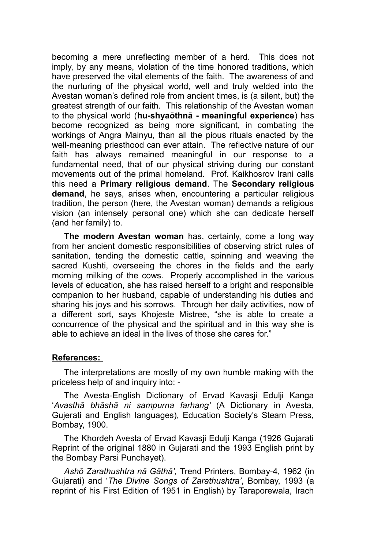becoming a mere unreflecting member of a herd. This does not imply, by any means, violation of the time honored traditions, which have preserved the vital elements of the faith. The awareness of and the nurturing of the physical world, well and truly welded into the Avestan woman's defined role from ancient times, is (a silent, but) the greatest strength of our faith. This relationship of the Avestan woman to the physical world (**hu-shyaōthnā - meaningful experience**) has become recognized as being more significant, in combating the workings of Angra Mainyu, than all the pious rituals enacted by the well-meaning priesthood can ever attain. The reflective nature of our faith has always remained meaningful in our response to a fundamental need, that of our physical striving during our constant movements out of the primal homeland. Prof. Kaikhosrov Irani calls this need a **Primary religious demand**. The **Secondary religious demand**, he says, arises when, encountering a particular religious tradition, the person (here, the Avestan woman) demands a religious vision (an intensely personal one) which she can dedicate herself (and her family) to.

**The modern Avestan woman** has, certainly, come a long way from her ancient domestic responsibilities of observing strict rules of sanitation, tending the domestic cattle, spinning and weaving the sacred Kushti, overseeing the chores in the fields and the early morning milking of the cows. Properly accomplished in the various levels of education, she has raised herself to a bright and responsible companion to her husband, capable of understanding his duties and sharing his joys and his sorrows. Through her daily activities, now of a different sort, says Khojeste Mistree, "she is able to create a concurrence of the physical and the spiritual and in this way she is able to achieve an ideal in the lives of those she cares for."

# **References :**

The interpretations are mostly of my own humble making with the priceless help of and inquiry into: -

The Avesta-English Dictionary of Ervad Kavasji Edulji Kanga '*Avasthā bhāshā ni sampurna farhang'* (A Dictionary in Avesta, Gujerati and English languages), Education Society's Steam Press, Bombay, 1900.

The Khordeh Avesta of Ervad Kavasji Edulji Kanga (1926 Gujarati Reprint of the original 1880 in Gujarati and the 1993 English print by the Bombay Parsi Punchayet).

*Ashō Zarathushtra nā Gāthā',* Trend Printers, Bombay-4, 1962 (in Gujarati) and '*The Divine Songs of Zarathushtra'*, Bombay, 1993 (a reprint of his First Edition of 1951 in English) by Taraporewala, Irach